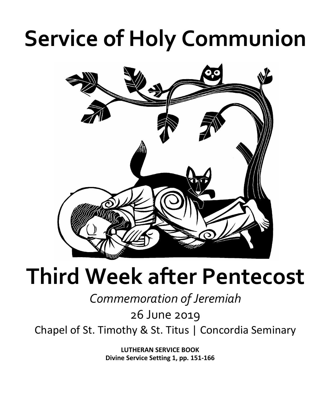# **Service of Holy Communion**



## **Third Week after Pentecost**

*Commemoration of Jeremiah*

26 June 2019

Chapel of St. Timothy & St. Titus | Concordia Seminary

**LUTHERAN SERVICE BOOK Divine Service Setting 1, pp. 151-166**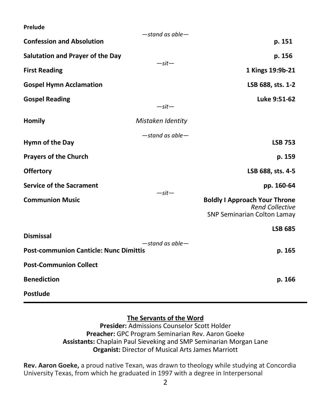**Prelude**

|                                                                        | $-$ stand as able $-$ |                                                                                               |
|------------------------------------------------------------------------|-----------------------|-----------------------------------------------------------------------------------------------|
| <b>Confession and Absolution</b>                                       |                       | p. 151                                                                                        |
| Salutation and Prayer of the Day                                       | $-sit-$               | p. 156                                                                                        |
| <b>First Reading</b>                                                   |                       | 1 Kings 19:9b-21                                                                              |
| <b>Gospel Hymn Acclamation</b>                                         |                       | LSB 688, sts. 1-2                                                                             |
| <b>Gospel Reading</b>                                                  | $-sit-$               | Luke 9:51-62                                                                                  |
| <b>Homily</b>                                                          | Mistaken Identity     |                                                                                               |
| Hymn of the Day                                                        | $-$ stand as able $-$ | <b>LSB 753</b>                                                                                |
| <b>Prayers of the Church</b>                                           |                       | p. 159                                                                                        |
| <b>Offertory</b>                                                       |                       | LSB 688, sts. 4-5                                                                             |
| <b>Service of the Sacrament</b>                                        |                       | pp. 160-64                                                                                    |
| <b>Communion Music</b>                                                 | $-sit-$               | <b>Boldly I Approach Your Throne</b><br><b>Rend Collective</b><br>SNP Seminarian Colton Lamay |
| <b>Dismissal</b>                                                       |                       | <b>LSB 685</b>                                                                                |
| $-$ stand as able $-$<br><b>Post-communion Canticle: Nunc Dimittis</b> |                       | p. 165                                                                                        |
| <b>Post-Communion Collect</b>                                          |                       |                                                                                               |
| <b>Benediction</b>                                                     |                       | p. 166                                                                                        |
| <b>Postlude</b>                                                        |                       |                                                                                               |

### **The Servants of the Word**

**Presider:** Admissions Counselor Scott Holder **Preacher:** GPC Program Seminarian Rev. Aaron Goeke **Assistants:** Chaplain Paul Sieveking and SMP Seminarian Morgan Lane **Organist:** Director of Musical Arts James Marriott

**Rev. Aaron Goeke,** a proud native Texan, was drawn to theology while studying at Concordia University Texas, from which he graduated in 1997 with a degree in Interpersonal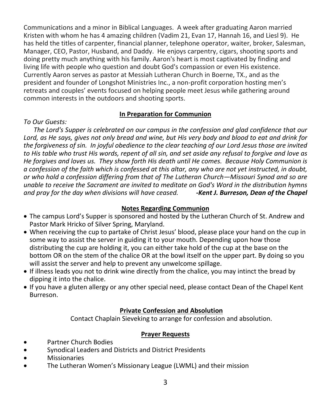Communications and a minor in Biblical Languages. A week after graduating Aaron married Kristen with whom he has 4 amazing children (Vadim 21, Evan 17, Hannah 16, and Liesl 9). He has held the titles of carpenter, financial planner, telephone operator, waiter, broker, Salesman, Manager, CEO, Pastor, Husband, and Daddy. He enjoys carpentry, cigars, shooting sports and doing pretty much anything with his family. Aaron's heart is most captivated by finding and living life with people who question and doubt God's compassion or even His existence. Currently Aaron serves as pastor at Messiah Lutheran Church in Boerne, TX., and as the president and founder of Longshot Ministries Inc., a non-profit corporation hosting men's retreats and couples' events focused on helping people meet Jesus while gathering around common interests in the outdoors and shooting sports.

#### **In Preparation for Communion**

#### *To Our Guests:*

 *The Lord's Supper is celebrated on our campus in the confession and glad confidence that our Lord, as He says, gives not only bread and wine, but His very body and blood to eat and drink for the forgiveness of sin. In joyful obedience to the clear teaching of our Lord Jesus those are invited to His table who trust His words, repent of all sin, and set aside any refusal to forgive and love as He forgives and loves us. They show forth His death until He comes. Because Holy Communion is a confession of the faith which is confessed at this altar, any who are not yet instructed, in doubt, or who hold a confession differing from that of The Lutheran Church—Missouri Synod and so are unable to receive the Sacrament are invited to meditate on God's Word in the distribution hymns and pray for the day when divisions will have ceased. -Kent J. Burreson, Dean of the Chapel*

#### **Notes Regarding Communion**

- The campus Lord's Supper is sponsored and hosted by the Lutheran Church of St. Andrew and Pastor Mark Hricko of Silver Spring, Maryland.
- When receiving the cup to partake of Christ Jesus' blood, please place your hand on the cup in some way to assist the server in guiding it to your mouth. Depending upon how those distributing the cup are holding it, you can either take hold of the cup at the base on the bottom OR on the stem of the chalice OR at the bowl itself on the upper part. By doing so you will assist the server and help to prevent any unwelcome spillage.
- If illness leads you not to drink wine directly from the chalice, you may intinct the bread by dipping it into the chalice.
- If you have a gluten allergy or any other special need, please contact Dean of the Chapel Kent Burreson.

#### **Private Confession and Absolution**

Contact Chaplain Sieveking to arrange for confession and absolution.

#### **Prayer Requests**

- Partner Church Bodies
- Synodical Leaders and Districts and District Presidents
- **Missionaries**
- The Lutheran Women's Missionary League (LWML) and their mission